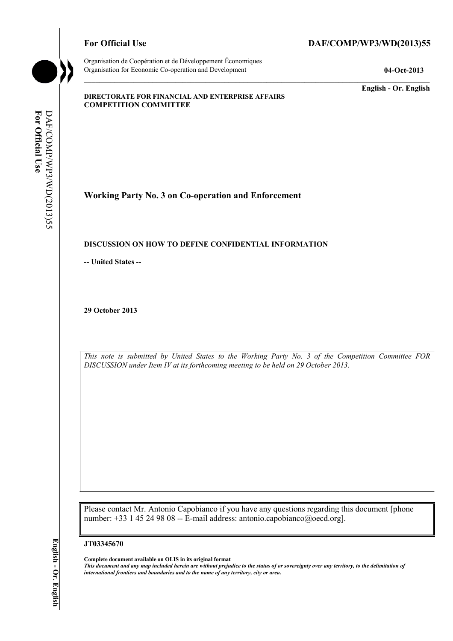Organisation de Coopération et de Développement Économiques Organisation for Economic Co-operation and Development **04-Oct-2013** 

# For Official Use DAF/COMP/WP3/WD(2013)55

**English - Or. English** 

#### **DIRECTORATE FOR FINANCIAL AND ENTERPRISE AFFAIRS COMPETITION COMMITTEE**

For Official Use **For Official Use**  DAF/COMP/WP3/WD(2013)55 DAF/COMP/WP3/WD(2013)55

**Working Party No. 3 on Co-operation and Enforcement** 

## **DISCUSSION ON HOW TO DEFINE CONFIDENTIAL INFORMATION**

**-- United States --**

**29 October 2013** 

*This note is submitted by United States to the Working Party No. 3 of the Competition Committee FOR DISCUSSION under Item IV at its forthcoming meeting to be held on 29 October 2013.* 

Please contact Mr. Antonio Capobianco if you have any questions regarding this document [phone number: +33 1 45 24 98 08 -- E-mail address: antonio.capobianco@oecd.org].

#### **JT03345670**

 **Complete document available on OLIS in its original format** 

 *This document and any map included herein are without prejudice to the status of or sovereignty over any territory, to the delimitation of international frontiers and boundaries and to the name of any territory, city or area.*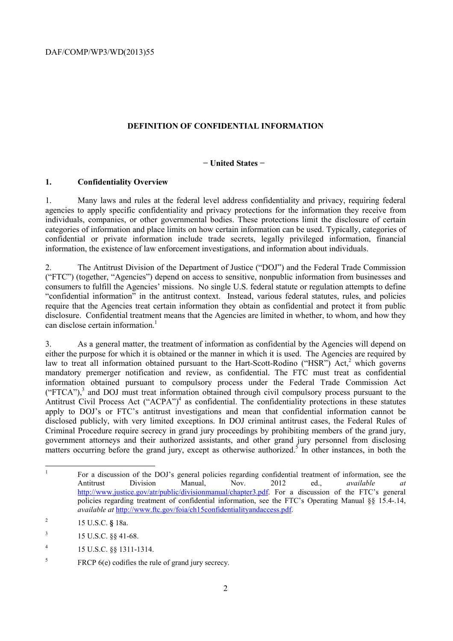DAF/COMP/WP3/WD(2013)55

## **DEFINITION OF CONFIDENTIAL INFORMATION**

#### **− United States −**

#### **1. Confidentiality Overview**

1. Many laws and rules at the federal level address confidentiality and privacy, requiring federal agencies to apply specific confidentiality and privacy protections for the information they receive from individuals, companies, or other governmental bodies. These protections limit the disclosure of certain categories of information and place limits on how certain information can be used. Typically, categories of confidential or private information include trade secrets, legally privileged information, financial information, the existence of law enforcement investigations, and information about individuals.

 "confidential information" in the antitrust context. Instead, various federal statutes, rules, and policies require that the Agencies treat certain information they obtain as confidential and protect it from public 2. The Antitrust Division of the Department of Justice ("DOJ") and the Federal Trade Commission ("FTC") (together, "Agencies") depend on access to sensitive, nonpublic information from businesses and consumers to fulfill the Agencies' missions. No single U.S. federal statute or regulation attempts to define disclosure. Confidential treatment means that the Agencies are limited in whether, to whom, and how they can disclose certain information.<sup>1</sup>

 either the purpose for which it is obtained or the manner in which it is used. The Agencies are required by matters occurring before the grand jury, except as otherwise authorized.<sup>5</sup> In other instances, in both the 3. As a general matter, the treatment of information as confidential by the Agencies will depend on law to treat all information obtained pursuant to the Hart-Scott-Rodino ("HSR") Act,<sup>2</sup> which governs mandatory premerger notification and review, as confidential. The FTC must treat as confidential information obtained pursuant to compulsory process under the Federal Trade Commission Act  $("FTCA")$ ,<sup>3</sup> and DOJ must treat information obtained through civil compulsory process pursuant to the Antitrust Civil Process Act ("ACPA")<sup>4</sup> as confidential. The confidentiality protections in these statutes apply to DOJ's or FTC's antitrust investigations and mean that confidential information cannot be disclosed publicly, with very limited exceptions. In DOJ criminal antitrust cases, the Federal Rules of Criminal Procedure require secrecy in grand jury proceedings by prohibiting members of the grand jury, government attorneys and their authorized assistants, and other grand jury personnel from disclosing

 $\overline{a}$ 

 policies regarding treatment of confidential information, see the FTC's Operating Manual §§ 15.4-.14, 1 For a discussion of the DOJ's general policies regarding confidential treatment of information, see the Antitrust Division Manual, Nov. 2012 ed., *available at*  http://www.justice.gov/atr/public/divisionmanual/chapter3.pdf. For a discussion of the FTC's general *available at* http://www.ftc.gov/foia/ch15confidentialityandaccess.pdf.

 $\overline{c}$ 2 15 U.S.C. **§** 18a.

 $3$  15 U.S.C. §§ 41-68.

<sup>4 15</sup> U.S.C. §§ 1311-1314.

 $5$  FRCP 6(e) codifies the rule of grand jury secrecy.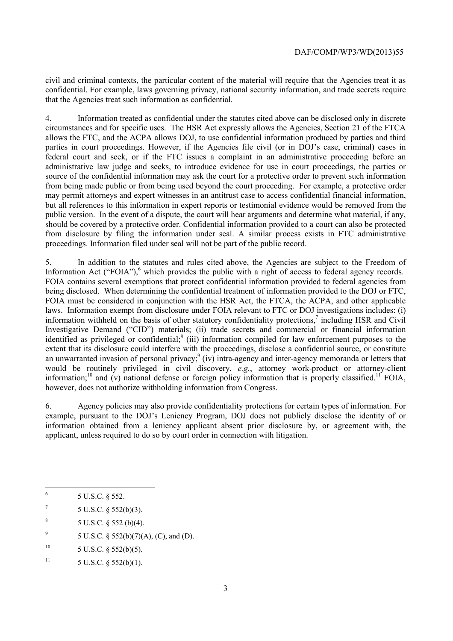civil and criminal contexts, the particular content of the material will require that the Agencies treat it as confidential. For example, laws governing privacy, national security information, and trade secrets require that the Agencies treat such information as confidential.

4. Information treated as confidential under the statutes cited above can be disclosed only in discrete circumstances and for specific uses. The HSR Act expressly allows the Agencies, Section 21 of the FTCA allows the FTC, and the ACPA allows DOJ, to use confidential information produced by parties and third parties in court proceedings. However, if the Agencies file civil (or in DOJ's case, criminal) cases in federal court and seek, or if the FTC issues a complaint in an administrative proceeding before an administrative law judge and seeks, to introduce evidence for use in court proceedings, the parties or source of the confidential information may ask the court for a protective order to prevent such information from being made public or from being used beyond the court proceeding. For example, a protective order may permit attorneys and expert witnesses in an antitrust case to access confidential financial information, but all references to this information in expert reports or testimonial evidence would be removed from the public version. In the event of a dispute, the court will hear arguments and determine what material, if any, should be covered by a protective order. Confidential information provided to a court can also be protected from disclosure by filing the information under seal. A similar process exists in FTC administrative proceedings. Information filed under seal will not be part of the public record.

Information Act ("FOIA"),<sup>6</sup> which provides the public with a right of access to federal agency records. extent that its disclosure could interfere with the proceedings, disclose a confidential source, or constitute 5. In addition to the statutes and rules cited above, the Agencies are subject to the Freedom of FOIA contains several exemptions that protect confidential information provided to federal agencies from being disclosed. When determining the confidential treatment of information provided to the DOJ or FTC, FOIA must be considered in conjunction with the HSR Act, the FTCA, the ACPA, and other applicable laws. Information exempt from disclosure under FOIA relevant to FTC or DOJ investigations includes: (i) information withheld on the basis of other statutory confidentiality protections,<sup>7</sup> including HSR and Civil Investigative Demand ("CID") materials; (ii) trade secrets and commercial or financial information identified as privileged or confidential; $^{8}$  (iii) information compiled for law enforcement purposes to the an unwarranted invasion of personal privacy; (iv) intra-agency and inter-agency memoranda or letters that would be routinely privileged in civil discovery, *e.g.*, attorney work-product or attorney-client information;<sup>10</sup> and (v) national defense or foreign policy information that is properly classified.<sup>11</sup> FOIA, however, does not authorize withholding information from Congress.

6. Agency policies may also provide confidentiality protections for certain types of information. For example, pursuant to the DOJ's Leniency Program, DOJ does not publicly disclose the identity of or information obtained from a leniency applicant absent prior disclosure by, or agreement with, the applicant, unless required to do so by court order in connection with litigation.

 $\overline{a}$ 

- <sup>9</sup> 5 U.S.C. § 552(b)(7)(A), (C), and (D).
- $10$  $5$  U.S.C.  $§$   $552(b)(5)$ .

<sup>6 5</sup> U.S.C. § 552.

 $7 \t 5 \t U.S.C. \t § 552(b)(3).$ 

 $8$  5 U.S.C. § 552 (b)(4).

<sup>&</sup>lt;sup>11</sup> 5 U.S.C. § 552(b)(1).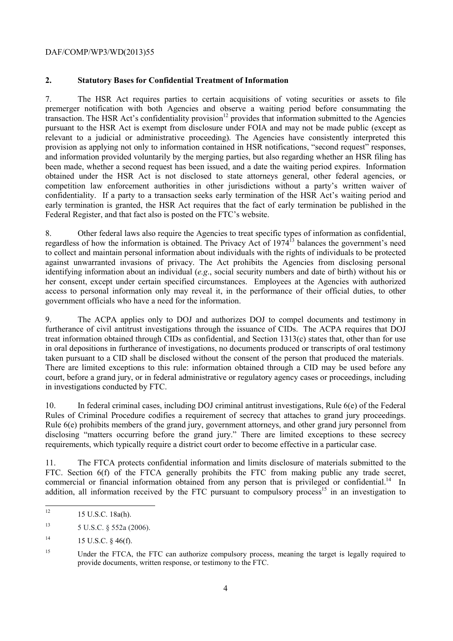#### DAF/COMP/WP3/WD(2013)55

## **2. Statutory Bases for Confidential Treatment of Information**

 competition law enforcement authorities in other jurisdictions without a party's written waiver of confidentiality. If a party to a transaction seeks early termination of the HSR Act's waiting period and 7. The HSR Act requires parties to certain acquisitions of voting securities or assets to file premerger notification with both Agencies and observe a waiting period before consummating the transaction. The HSR Act's confidentiality provision<sup>12</sup> provides that information submitted to the Agencies pursuant to the HSR Act is exempt from disclosure under FOIA and may not be made public (except as relevant to a judicial or administrative proceeding). The Agencies have consistently interpreted this provision as applying not only to information contained in HSR notifications, "second request" responses, and information provided voluntarily by the merging parties, but also regarding whether an HSR filing has been made, whether a second request has been issued, and a date the waiting period expires. Information obtained under the HSR Act is not disclosed to state attorneys general, other federal agencies, or early termination is granted, the HSR Act requires that the fact of early termination be published in the Federal Register, and that fact also is posted on the FTC's website.

8. Other federal laws also require the Agencies to treat specific types of information as confidential, regardless of how the information is obtained. The Privacy Act of 1974<sup>13</sup> balances the government's need to collect and maintain personal information about individuals with the rights of individuals to be protected against unwarranted invasions of privacy. The Act prohibits the Agencies from disclosing personal identifying information about an individual (*e.g*., social security numbers and date of birth) without his or her consent, except under certain specified circumstances. Employees at the Agencies with authorized access to personal information only may reveal it, in the performance of their official duties, to other government officials who have a need for the information.

9. The ACPA applies only to DOJ and authorizes DOJ to compel documents and testimony in furtherance of civil antitrust investigations through the issuance of CIDs. The ACPA requires that DOJ treat information obtained through CIDs as confidential, and Section 1313(c) states that, other than for use in oral depositions in furtherance of investigations, no documents produced or transcripts of oral testimony taken pursuant to a CID shall be disclosed without the consent of the person that produced the materials. There are limited exceptions to this rule: information obtained through a CID may be used before any court, before a grand jury, or in federal administrative or regulatory agency cases or proceedings, including in investigations conducted by FTC.

10. In federal criminal cases, including DOJ criminal antitrust investigations, Rule 6(e) of the Federal Rules of Criminal Procedure codifies a requirement of secrecy that attaches to grand jury proceedings. Rule 6(e) prohibits members of the grand jury, government attorneys, and other grand jury personnel from disclosing "matters occurring before the grand jury." There are limited exceptions to these secrecy requirements, which typically require a district court order to become effective in a particular case.

FTC. Section 6(f) of the FTCA generally prohibits the FTC from making public any trade secret, commercial or financial information obtained from any person that is privileged or confidential.<sup>14</sup> In 11. The FTCA protects confidential information and limits disclosure of materials submitted to the addition, all information received by the FTC pursuant to compulsory process<sup>15</sup> in an investigation to

 12 15 U.S.C. 18a(h).

<sup>13 5</sup> U.S.C. § 552a (2006).

 $14$ 15 U.S.C. § 46(f).

<sup>&</sup>lt;sup>15</sup> Under the FTCA, the FTC can authorize compulsory process, meaning the target is legally required to provide documents, written response, or testimony to the FTC.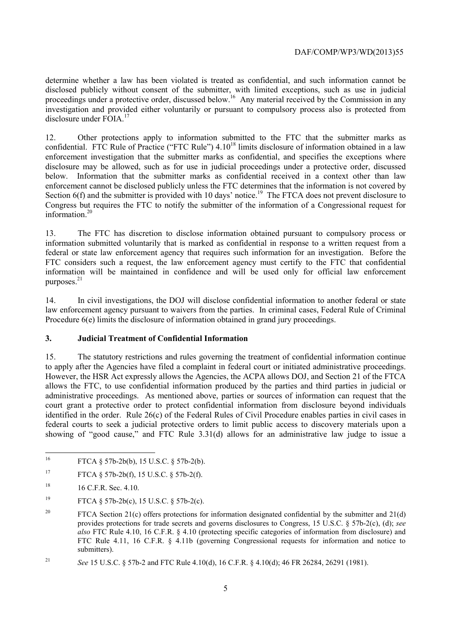investigation and provided either voluntarily or pursuant to compulsory process also is protected from determine whether a law has been violated is treated as confidential, and such information cannot be disclosed publicly without consent of the submitter, with limited exceptions, such as use in judicial proceedings under a protective order, discussed below.<sup>16</sup> Any material received by the Commission in any disclosure under  $FOIA$ <sup>17</sup>

 12. Other protections apply to information submitted to the FTC that the submitter marks as enforcement investigation that the submitter marks as confidential, and specifies the exceptions where Section 6(f) and the submitter is provided with 10 days' notice.<sup>19</sup> The FTCA does not prevent disclosure to confidential. FTC Rule of Practice ("FTC Rule") 4.10<sup>18</sup> limits disclosure of information obtained in a law disclosure may be allowed, such as for use in judicial proceedings under a protective order, discussed below. Information that the submitter marks as confidential received in a context other than law enforcement cannot be disclosed publicly unless the FTC determines that the information is not covered by Congress but requires the FTC to notify the submitter of the information of a Congressional request for information.20

13. The FTC has discretion to disclose information obtained pursuant to compulsory process or information submitted voluntarily that is marked as confidential in response to a written request from a federal or state law enforcement agency that requires such information for an investigation. Before the FTC considers such a request, the law enforcement agency must certify to the FTC that confidential information will be maintained in confidence and will be used only for official law enforcement purposes.<sup>21</sup>

14. In civil investigations, the DOJ will disclose confidential information to another federal or state law enforcement agency pursuant to waivers from the parties. In criminal cases, Federal Rule of Criminal Procedure  $6(e)$  limits the disclosure of information obtained in grand jury proceedings.

## **3. Judicial Treatment of Confidential Information**

to apply after the Agencies have filed a complaint in federal court or initiated administrative proceedings. allows the FTC, to use confidential information produced by the parties and third parties in judicial or 15. The statutory restrictions and rules governing the treatment of confidential information continue However, the HSR Act expressly allows the Agencies, the ACPA allows DOJ, and Section 21 of the FTCA administrative proceedings. As mentioned above, parties or sources of information can request that the court grant a protective order to protect confidential information from disclosure beyond individuals identified in the order. Rule 26(c) of the Federal Rules of Civil Procedure enables parties in civil cases in federal courts to seek a judicial protective orders to limit public access to discovery materials upon a showing of "good cause," and FTC Rule 3.31(d) allows for an administrative law judge to issue a

<sup>19</sup> FTCA § 57b-2b(c), 15 U.S.C. § 57b-2(c).

 $16$ FTCA § 57b-2b(b), 15 U.S.C. § 57b-2(b).

 $17$ 17 FTCA § 57b-2b(f), 15 U.S.C. § 57b-2(f).

<sup>&</sup>lt;sup>18</sup> 16 C.F.R. Sec. 4.10.

<sup>20</sup>  *also* FTC Rule 4.10, 16 C.F.R. § 4.10 (protecting specific categories of information from disclosure) and FTCA Section 21(c) offers protections for information designated confidential by the submitter and  $21(d)$ provides protections for trade secrets and governs disclosures to Congress, 15 U.S.C. § 57b-2(c), (d); *see*  FTC Rule 4.11, 16 C.F.R. § 4.11b (governing Congressional requests for information and notice to submitters).

<sup>21</sup>*See* 15 U.S.C. § 57b-2 and FTC Rule 4.10(d), 16 C.F.R. § 4.10(d); 46 FR 26284, 26291 (1981).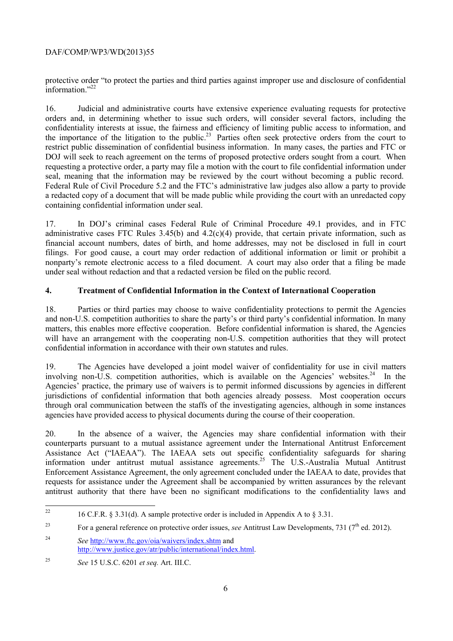# DAF/COMP/WP3/WD(2013)55

protective order "to protect the parties and third parties against improper use and disclosure of confidential  $\frac{1}{1}$ information<sup>"22</sup>

 DOJ will seek to reach agreement on the terms of proposed protective orders sought from a court. When 16. Judicial and administrative courts have extensive experience evaluating requests for protective orders and, in determining whether to issue such orders, will consider several factors, including the confidentiality interests at issue, the fairness and efficiency of limiting public access to information, and the importance of the litigation to the public.<sup>23</sup> Parties often seek protective orders from the court to restrict public dissemination of confidential business information. In many cases, the parties and FTC or requesting a protective order, a party may file a motion with the court to file confidential information under seal, meaning that the information may be reviewed by the court without becoming a public record. Federal Rule of Civil Procedure 5.2 and the FTC's administrative law judges also allow a party to provide a redacted copy of a document that will be made public while providing the court with an unredacted copy containing confidential information under seal.

17. In DOJ's criminal cases Federal Rule of Criminal Procedure 49.1 provides, and in FTC administrative cases FTC Rules 3.45(b) and 4.2(c)(4) provide, that certain private information, such as financial account numbers, dates of birth, and home addresses, may not be disclosed in full in court filings. For good cause, a court may order redaction of additional information or limit or prohibit a nonparty's remote electronic access to a filed document. A court may also order that a filing be made under seal without redaction and that a redacted version be filed on the public record.

# **4. Treatment of Confidential Information in the Context of International Cooperation**

 and non-U.S. competition authorities to share the party's or third party's confidential information. In many matters, this enables more effective cooperation. Before confidential information is shared, the Agencies 18. Parties or third parties may choose to waive confidentiality protections to permit the Agencies will have an arrangement with the cooperating non-U.S. competition authorities that they will protect confidential information in accordance with their own statutes and rules.

involving non-U.S. competition authorities, which is available on the Agencies' websites.<sup>24</sup> In the 19. The Agencies have developed a joint model waiver of confidentiality for use in civil matters Agencies' practice, the primary use of waivers is to permit informed discussions by agencies in different jurisdictions of confidential information that both agencies already possess. Most cooperation occurs through oral communication between the staffs of the investigating agencies, although in some instances agencies have provided access to physical documents during the course of their cooperation.

20. In the absence of a waiver, the Agencies may share confidential information with their counterparts pursuant to a mutual assistance agreement under the International Antitrust Enforcement Assistance Act ("IAEAA"). The IAEAA sets out specific confidentiality safeguards for sharing information under antitrust mutual assistance agreements.<sup>25</sup> The U.S.-Australia Mutual Antitrust Enforcement Assistance Agreement, the only agreement concluded under the IAEAA to date, provides that requests for assistance under the Agreement shall be accompanied by written assurances by the relevant antitrust authority that there have been no significant modifications to the confidentiality laws and

 16 C.F.R. § 3.31(d). A sample protective order is included in Appendix A to § 3.31.

<sup>&</sup>lt;sup>23</sup> For a general reference on protective order issues, *see* Antitrust Law Developments, 731 (7<sup>th</sup> ed. 2012).

 $24$ <sup>24</sup>*See* http://www.ftc.gov/oia/waivers/index.shtm and http://www.justice.gov/atr/public/international/index.html.

<sup>25</sup>*See* 15 U.S.C. 6201 *et seq.* Art. III.C.